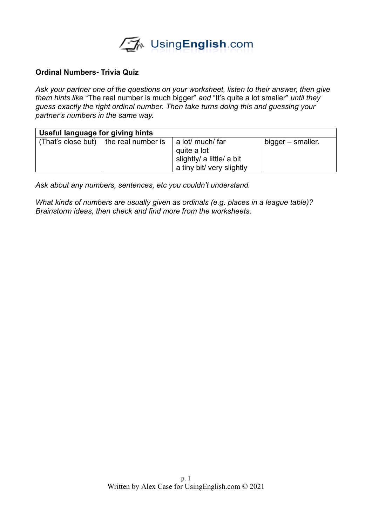

## **Ordinal Numbers- Trivia Quiz**

*Ask your partner one of the questions on your worksheet, listen to their answer, then give them hints like* "The real number is much bigger" *and* "It's quite a lot smaller" *until they guess exactly the right ordinal number. Then take turns doing this and guessing your partner's numbers in the same way.*

| Useful language for giving hints |                                         |                                                                                           |                   |
|----------------------------------|-----------------------------------------|-------------------------------------------------------------------------------------------|-------------------|
|                                  | (That's close but)   the real number is | a lot/ much/ far<br>quite a lot<br>slightly/ a little/ a bit<br>a tiny bit/ very slightly | bigger – smaller. |

*Ask about any numbers, sentences, etc you couldn't understand.* 

*What kinds of numbers are usually given as ordinals (e.g. places in a league table)? Brainstorm ideas, then check and find more from the worksheets.*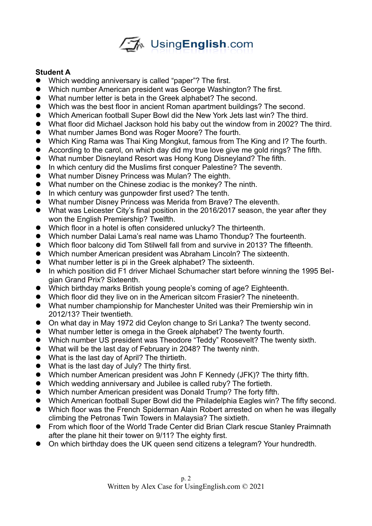

## **Student A**

- Which wedding anniversary is called "paper"? The first.
- Which number American president was George Washington? The first.
- What number letter is beta in the Greek alphabet? The second.
- Which was the best floor in ancient Roman apartment buildings? The second.
- Which American football Super Bowl did the New York Jets last win? The third.
- What floor did Michael Jackson hold his baby out the window from in 2002? The third.
- What number James Bond was Roger Moore? The fourth.
- Which King Rama was Thai King Mongkut, famous from The King and I? The fourth.
- According to the carol, on which day did my true love give me gold rings? The fifth.
- What number Disneyland Resort was Hong Kong Disneyland? The fifth.
- **•** In which century did the Muslims first conquer Palestine? The seventh.
- What number Disney Princess was Mulan? The eighth.
- What number on the Chinese zodiac is the monkey? The ninth.
- In which century was gunpowder first used? The tenth.
- What number Disney Princess was Merida from Brave? The eleventh.
- What was Leicester City's final position in the 2016/2017 season, the year after they won the English Premiership? Twelfth.
- Which floor in a hotel is often considered unlucky? The thirteenth.
- Which number Dalai Lama's real name was Lhamo Thondup? The fourteenth.
- Which floor balcony did Tom Stilwell fall from and survive in 2013? The fifteenth.
- Which number American president was Abraham Lincoln? The sixteenth.
- What number letter is pi in the Greek alphabet? The sixteenth.
- In which position did F1 driver Michael Schumacher start before winning the 1995 Belgian Grand Prix? Sixteenth.
- Which birthday marks British young people's coming of age? Eighteenth.
- Which floor did they live on in the American sitcom Frasier? The nineteenth.
- What number championship for Manchester United was their Premiership win in 2012/13? Their twentieth.
- On what day in May 1972 did Ceylon change to Sri Lanka? The twenty second.
- What number letter is omega in the Greek alphabet? The twenty fourth.
- Which number US president was Theodore "Teddy" Roosevelt? The twenty sixth.
- What will be the last day of February in 2048? The twenty ninth.
- What is the last day of April? The thirtieth.
- What is the last day of July? The thirty first.
- Which number American president was John F Kennedy (JFK)? The thirty fifth.
- Which wedding anniversary and Jubilee is called ruby? The fortieth.
- Which number American president was Donald Trump? The forty fifth.
- Which American football Super Bowl did the Philadelphia Eagles win? The fifty second.
- Which floor was the French Spiderman Alain Robert arrested on when he was illegally climbing the Petronas Twin Towers in Malaysia? The sixtieth.
- From which floor of the World Trade Center did Brian Clark rescue Stanley Praimnath after the plane hit their tower on 9/11? The eighty first.
- On which birthday does the UK queen send citizens a telegram? Your hundredth.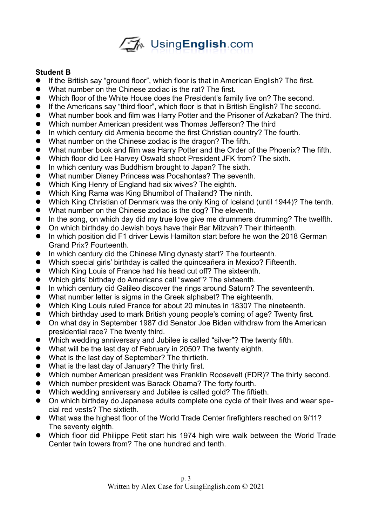

## **Student B**

- If the British say "ground floor", which floor is that in American English? The first.
- What number on the Chinese zodiac is the rat? The first.
- Which floor of the White House does the President's family live on? The second.
- If the Americans say "third floor", which floor is that in British English? The second.
- What number book and film was Harry Potter and the Prisoner of Azkaban? The third.
- Which number American president was Thomas Jefferson? The third
- In which century did Armenia become the first Christian country? The fourth.
- What number on the Chinese zodiac is the dragon? The fifth.
- What number book and film was Harry Potter and the Order of the Phoenix? The fifth.
- Which floor did Lee Harvey Oswald shoot President JFK from? The sixth.
- In which century was Buddhism brought to Japan? The sixth.
- What number Disney Princess was Pocahontas? The seventh.
- Which King Henry of England had six wives? The eighth.
- Which King Rama was King Bhumibol of Thailand? The ninth.
- Which King Christian of Denmark was the only King of Iceland (until 1944)? The tenth.
- What number on the Chinese zodiac is the dog? The eleventh.
- In the song, on which day did my true love give me drummers drumming? The twelfth.
- On which birthday do Jewish boys have their Bar Mitzvah? Their thirteenth.
- In which position did F1 driver Lewis Hamilton start before he won the 2018 German Grand Prix? Fourteenth.
- In which century did the Chinese Ming dynasty start? The fourteenth.
- Which special girls' birthday is called the quinceañera in Mexico? Fifteenth.
- Which King Louis of France had his head cut off? The sixteenth.
- Which girls' birthday do Americans call "sweet"? The sixteenth.
- In which century did Galileo discover the rings around Saturn? The seventeenth.
- What number letter is sigma in the Greek alphabet? The eighteenth.
- Which King Louis ruled France for about 20 minutes in 1830? The nineteenth.
- Which birthday used to mark British young people's coming of age? Twenty first.
- On what day in September 1987 did Senator Joe Biden withdraw from the American presidential race? The twenty third.
- Which wedding anniversary and Jubilee is called "silver"? The twenty fifth.
- What will be the last day of February in 2050? The twenty eighth.
- What is the last day of September? The thirtieth.
- What is the last day of January? The thirty first.
- Which number American president was Franklin Roosevelt (FDR)? The thirty second.
- Which number president was Barack Obama? The forty fourth.
- Which wedding anniversary and Jubilee is called gold? The fiftieth.
- On which birthday do Japanese adults complete one cycle of their lives and wear special red vests? The sixtieth.
- What was the highest floor of the World Trade Center firefighters reached on 9/11? The seventy eighth.
- Which floor did Philippe Petit start his 1974 high wire walk between the World Trade Center twin towers from? The one hundred and tenth.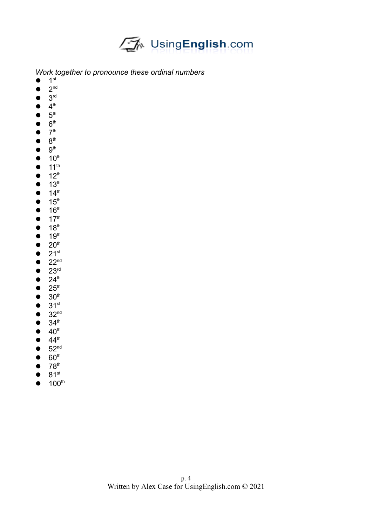

*Work together to pronounce these ordinal numbers*

- $\bullet$  1<sup>st</sup>
- $\bullet$  2<sup>nd</sup>
- $\bullet$  3<sup>rd</sup>
- $\bullet$  4<sup>th</sup>
- $\bullet$  5<sup>th</sup>
- $\bullet$  6<sup>th</sup>
- $\bullet$  7<sup>th</sup>
- $\bullet$  8<sup>th</sup>
- $\bullet$  9<sup>th</sup>
- $\bullet$  10<sup>th</sup>
- $\bullet$  11<sup>th</sup>
- $\bullet$  12<sup>th</sup>
- $\bullet$  13<sup>th</sup>
- $\bullet$  14<sup>th</sup>
- $\bullet$  15<sup>th</sup>
- $\bullet$  16<sup>th</sup>
- $\bullet$  17<sup>th</sup>
- $\bullet$  18<sup>th</sup>
- $\bullet$  19<sup>th</sup>
- $\bullet$  20<sup>th</sup>
- $\bullet$  21st
- $\bullet$  22<sup>nd</sup>
- $\bullet$  23rd
- $\bullet$  24<sup>th</sup>
- $\bullet$  25<sup>th</sup>
- $\bullet$  30<sup>th</sup>
- $\bullet$  31st
- $\bullet$  32<sup>nd</sup>
- $\bullet$  34<sup>th</sup>
- $\bullet$  40<sup>th</sup>
- $\bullet$  44<sup>th</sup>
- $\bullet$  52<sup>nd</sup>
- $\bullet$  60<sup>th</sup>
- $\bullet$  78<sup>th</sup>
- $\bullet$  81st
- $\bullet$  100<sup>th</sup>